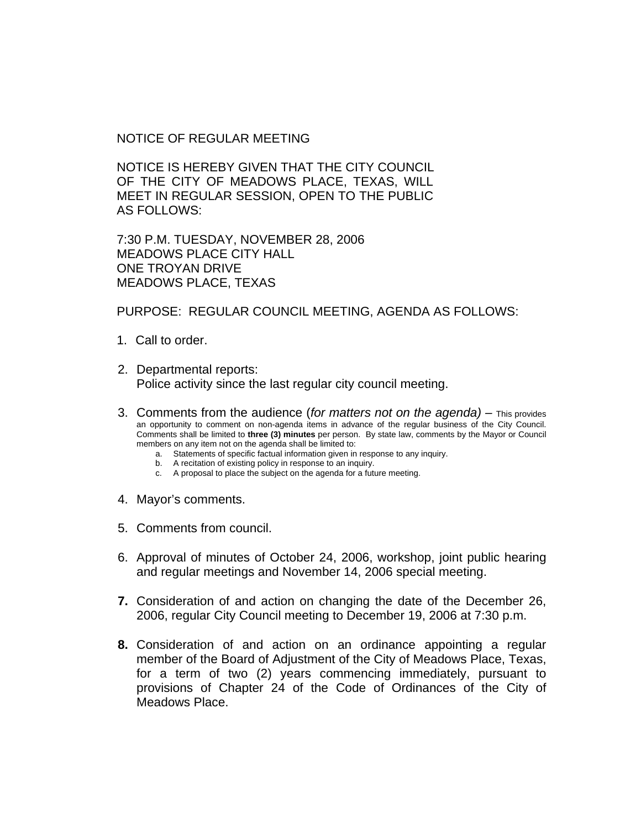NOTICE OF REGULAR MEETING

NOTICE IS HEREBY GIVEN THAT THE CITY COUNCIL OF THE CITY OF MEADOWS PLACE, TEXAS, WILL MEET IN REGULAR SESSION, OPEN TO THE PUBLIC AS FOLLOWS:

7:30 P.M. TUESDAY, NOVEMBER 28, 2006 MEADOWS PLACE CITY HALL ONE TROYAN DRIVE MEADOWS PLACE, TEXAS

PURPOSE: REGULAR COUNCIL MEETING, AGENDA AS FOLLOWS:

- 1. Call to order.
- 2. Departmental reports: Police activity since the last regular city council meeting.
- 3. Comments from the audience (*for matters not on the agenda)* This provides an opportunity to comment on non-agenda items in advance of the regular business of the City Council. Comments shall be limited to **three (3) minutes** per person. By state law, comments by the Mayor or Council members on any item not on the agenda shall be limited to:
	- a. Statements of specific factual information given in response to any inquiry.
	- b. A recitation of existing policy in response to an inquiry.
	- c. A proposal to place the subject on the agenda for a future meeting.
- 4. Mayor's comments.
- 5. Comments from council.
- 6. Approval of minutes of October 24, 2006, workshop, joint public hearing and regular meetings and November 14, 2006 special meeting.
- **7.** Consideration of and action on changing the date of the December 26, 2006, regular City Council meeting to December 19, 2006 at 7:30 p.m.
- **8.** Consideration of and action on an ordinance appointing a regular member of the Board of Adjustment of the City of Meadows Place, Texas, for a term of two (2) years commencing immediately, pursuant to provisions of Chapter 24 of the Code of Ordinances of the City of Meadows Place.